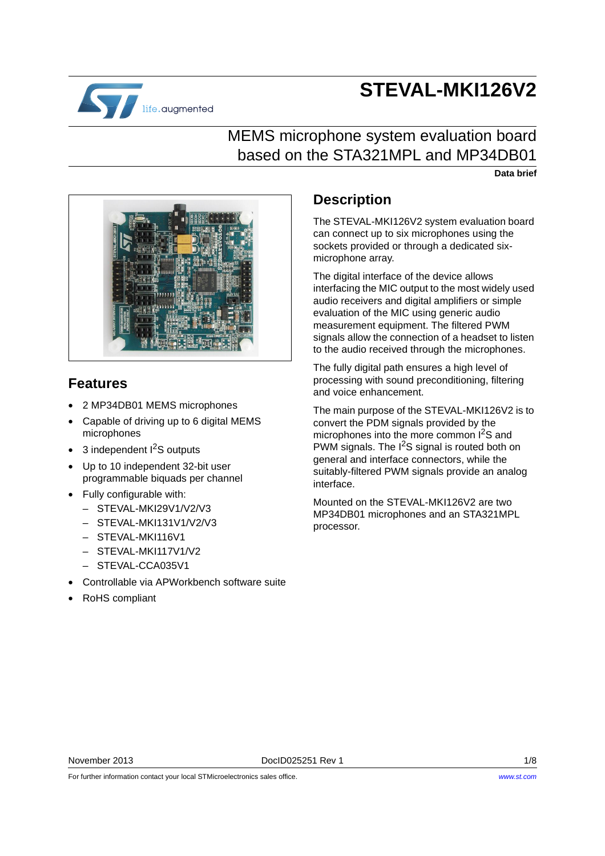# **STEVAL-MKI126V2**



## MEMS microphone system evaluation board based on the STA321MPL and MP34DB01

**Data brief**



### **Features**

- 2 MP34DB01 MEMS microphones
- Capable of driving up to 6 digital MEMS microphones
- $\bullet$  3 independent  $1^2$ S outputs
- Up to 10 independent 32-bit user programmable biquads per channel
- Fully configurable with:
	- STEVAL-MKI29V1/V2/V3
	- $-$  STEVAL-MKI131V1/V2/V3
	- STEVAL-MKI116V1
	- STEVAL-MKI117V1/V2
	- $-$  STEVAL-CCA035V1
- Controllable via APWorkbench software suite
- RoHS compliant

### **Description**

The STEVAL-MKI126V2 system evaluation board can connect up to six microphones using the sockets provided or through a dedicated sixmicrophone array.

The digital interface of the device allows interfacing the MIC output to the most widely used audio receivers and digital amplifiers or simple evaluation of the MIC using generic audio measurement equipment. The filtered PWM signals allow the connection of a headset to listen to the audio received through the microphones.

The fully digital path ensures a high level of processing with sound preconditioning, filtering and voice enhancement.

The main purpose of the STEVAL-MKI126V2 is to convert the PDM signals provided by the microphones into the more common I<sup>2</sup>S and PWM signals. The  $I^2S$  signal is routed both on general and interface connectors, while the suitably-filtered PWM signals provide an analog interface.

Mounted on the STEVAL-MKI126V2 are two MP34DB01 microphones and an STA321MPL processor.

For further information contact your local STMicroelectronics sales office.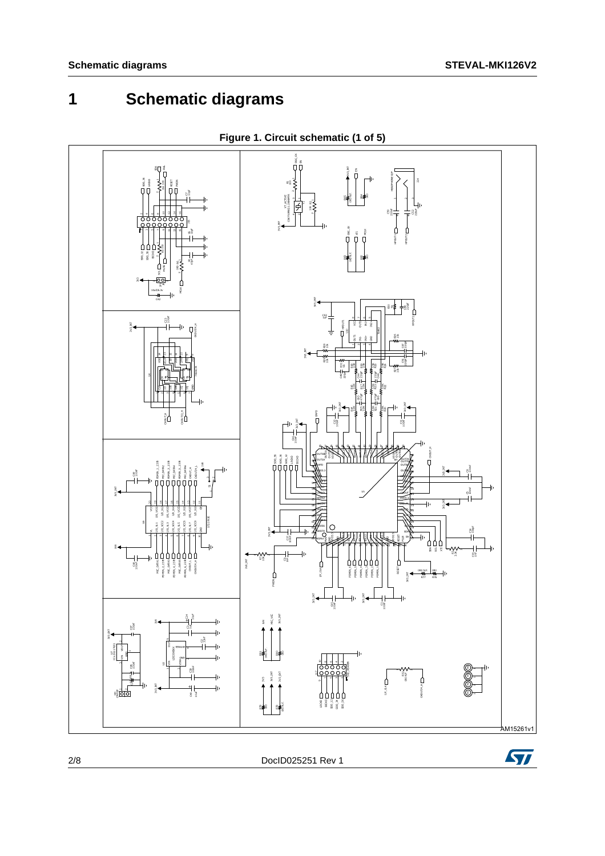## **1 Schematic diagrams**



**Figure 1. Circuit schematic (1 of 5)**

ST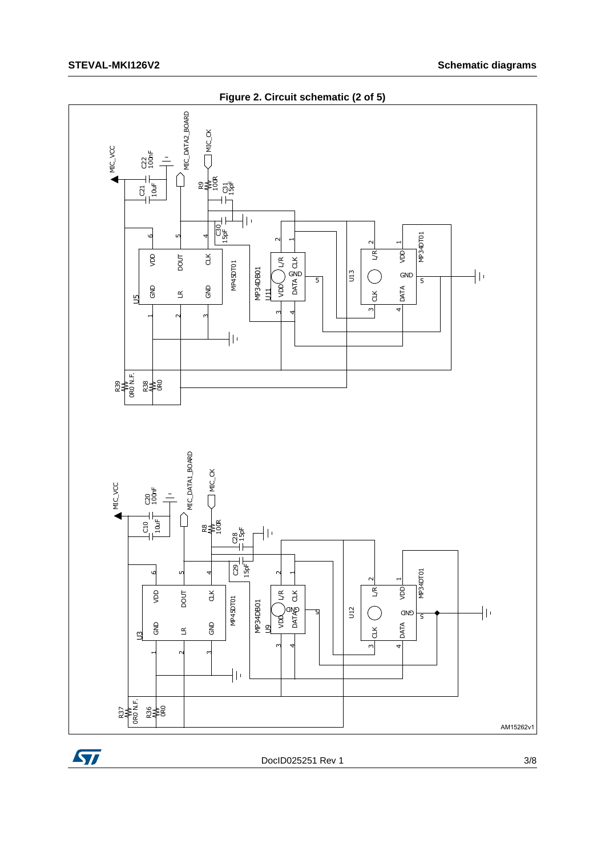

Figure 2. Circuit schematic (2 of 5)



DoclD025251 Rev 1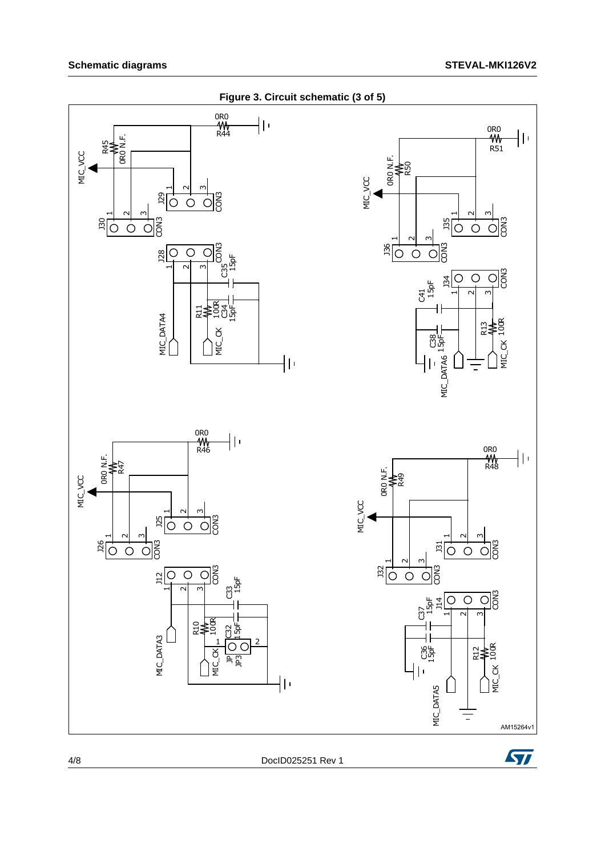

**Figure 3. Circuit schematic (3 of 5)**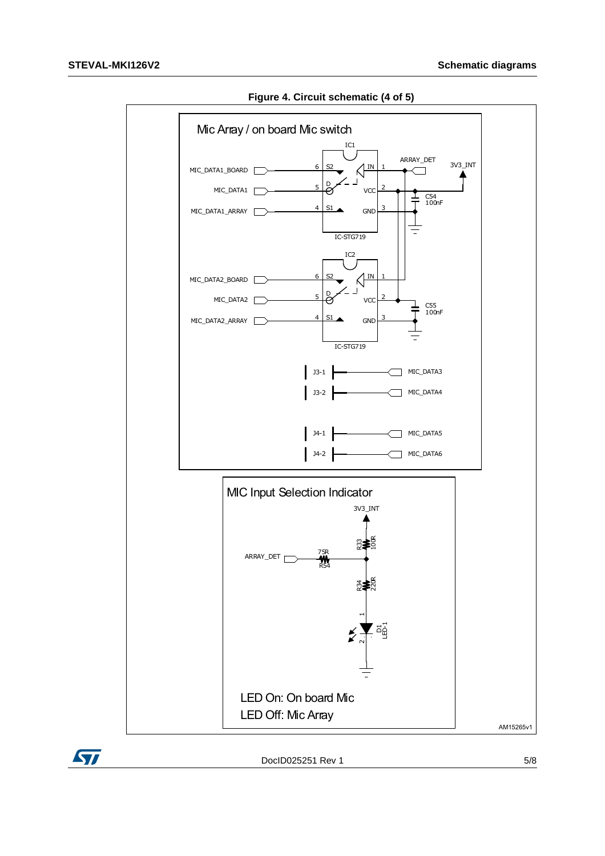

Figure 4. Circuit schematic (4 of 5)

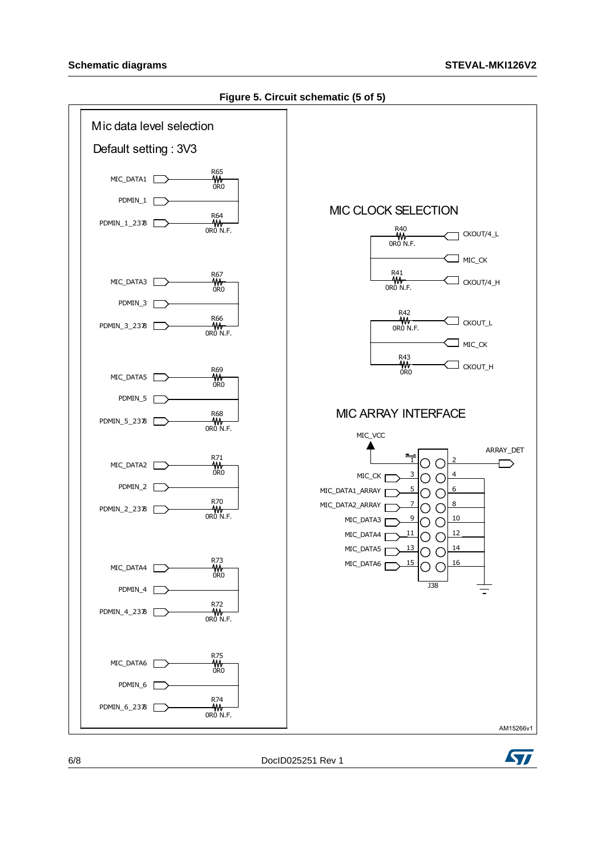#### Schematic diagrams **STEVAL-MKI126V2**



**Figure 5. Circuit schematic (5 of 5)**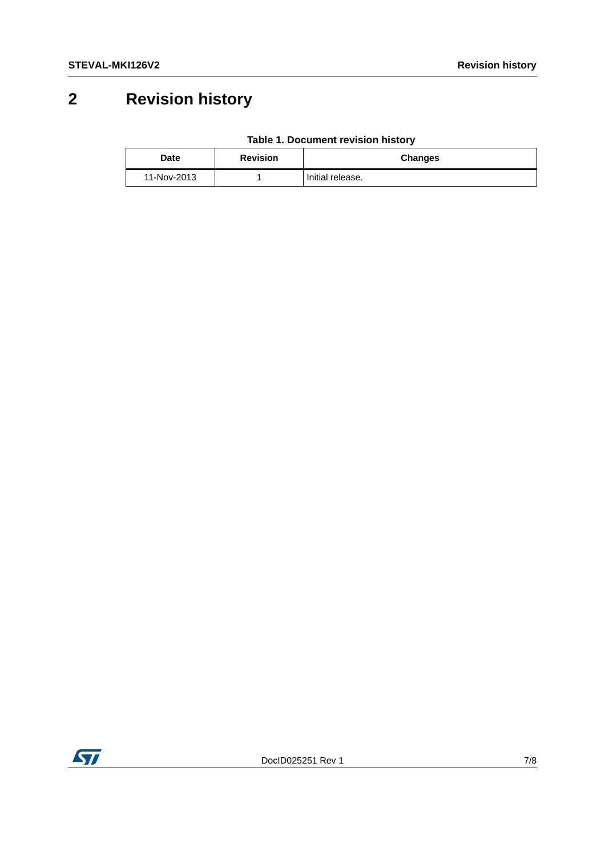## **2 Revision history**

|  | Table 1. Document revision history |  |  |
|--|------------------------------------|--|--|
|--|------------------------------------|--|--|

| <b>Date</b> | <b>Revision</b> | <b>Changes</b>   |
|-------------|-----------------|------------------|
| 11-Nov-2013 |                 | Initial release. |